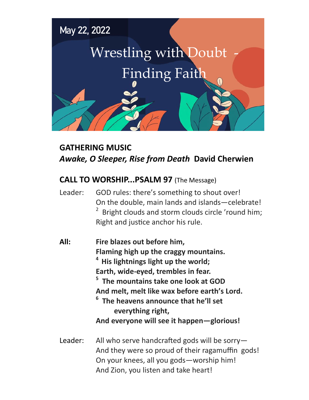

# **GATHERING MUSIC** *Awake, O Sleeper, Rise from Death* **David Cherwien**

## **CALL TO WORSHIP...PSALM 97** (The Message)

Leader: GOD rules: there's something to shout over! On the double, main lands and islands—celebrate!  $2$  Bright clouds and storm clouds circle 'round him; Right and justice anchor his rule.

| All: | Fire blazes out before him,                      |
|------|--------------------------------------------------|
|      | Flaming high up the craggy mountains.            |
|      | <sup>4</sup> His lightnings light up the world;  |
|      | Earth, wide-eyed, trembles in fear.              |
|      | <sup>5</sup> The mountains take one look at GOD  |
|      | And melt, melt like wax before earth's Lord.     |
|      | <sup>6</sup> The heavens announce that he'll set |
|      | everything right,                                |
|      | And everyone will see it happen-glorious!        |
|      |                                                  |

Leader: All who serve handcrafted gods will be sorry— And they were so proud of their ragamuffin gods! On your knees, all you gods—worship him! And Zion, you listen and take heart!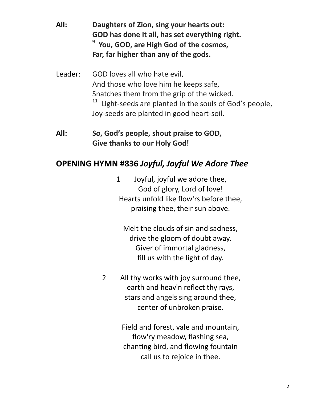- **All: Daughters of Zion, sing your hearts out: GOD has done it all, has set everything right. 9 You, GOD, are High God of the cosmos, Far, far higher than any of the gods.**
- Leader: GOD loves all who hate evil, And those who love him he keeps safe, Snatches them from the grip of the wicked.  $11$  Light-seeds are planted in the souls of God's people, Joy-seeds are planted in good heart-soil.

#### **All: So, God's people, shout praise to GOD, Give thanks to our Holy God!**

# **OPENING HYMN #836** *Joyful, Joyful We Adore Thee*

1 Joyful, joyful we adore thee, God of glory, Lord of love! Hearts unfold like flow'rs before thee, praising thee, their sun above.

Melt the clouds of sin and sadness, drive the gloom of doubt away. Giver of immortal gladness, fill us with the light of day.

2 All thy works with joy surround thee, earth and heav'n reflect thy rays, stars and angels sing around thee, center of unbroken praise.

> Field and forest, vale and mountain, flow'ry meadow, flashing sea, chanting bird, and flowing fountain call us to rejoice in thee.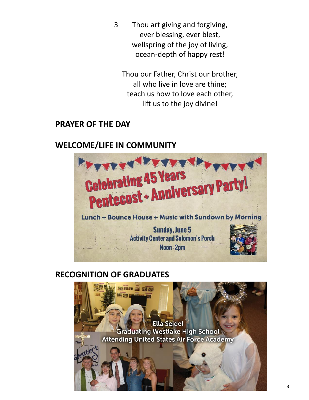3 Thou art giving and forgiving, ever blessing, ever blest, wellspring of the joy of living, ocean-depth of happy rest!

Thou our Father, Christ our brother, all who live in love are thine; teach us how to love each other, lift us to the joy divine!

#### **PRAYER OF THE DAY**

### **WELCOME/LIFE IN COMMUNITY**



### **RECOGNITION OF GRADUATES**

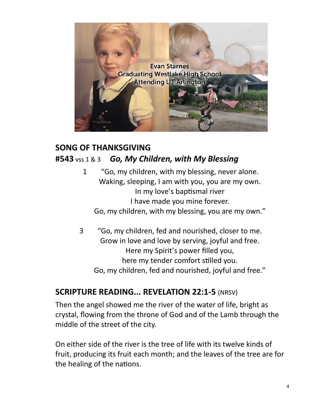

# **SONG OF THANKSGIVING #543** vss 1 & 3 *Go, My Children, with My Blessing*

- 1 "Go, my children, with my blessing, never alone. Waking, sleeping, I am with you, you are my own. In my love's baptismal river I have made you mine forever. Go, my children, with my blessing, you are my own."
- 3 "Go, my children, fed and nourished, closer to me. Grow in love and love by serving, joyful and free. Here my Spirit's power filled you, here my tender comfort stilled you. Go, my children, fed and nourished, joyful and free."

### **SCRIPTURE READING... REVELATION 22:1-5** (NRSV)

Then the angel showed me the river of the water of life, bright as crystal, flowing from the throne of God and of the Lamb through the middle of the street of the city.

On either side of the river is the tree of life with its twelve kinds of fruit, producing its fruit each month; and the leaves of the tree are for the healing of the nations.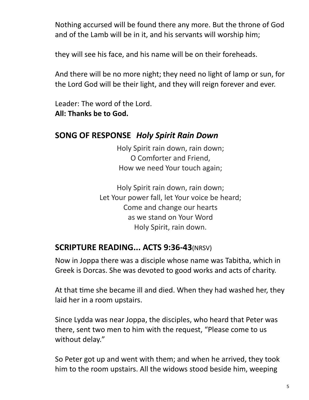Nothing accursed will be found there any more. But the throne of God and of the Lamb will be in it, and his servants will worship him;

they will see his face, and his name will be on their foreheads.

And there will be no more night; they need no light of lamp or sun, for the Lord God will be their light, and they will reign forever and ever.

Leader: The word of the Lord. **All: Thanks be to God.**

#### **SONG OF RESPONSE** *Holy Spirit Rain Down*

Holy Spirit rain down, rain down; O Comforter and Friend, How we need Your touch again;

Holy Spirit rain down, rain down; Let Your power fall, let Your voice be heard; Come and change our hearts as we stand on Your Word Holy Spirit, rain down.

### **SCRIPTURE READING... ACTS 9:36-43**(NRSV)

Now in Joppa there was a disciple whose name was Tabitha, which in Greek is Dorcas. She was devoted to good works and acts of charity.

At that time she became ill and died. When they had washed her, they laid her in a room upstairs.

Since Lydda was near Joppa, the disciples, who heard that Peter was there, sent two men to him with the request, "Please come to us without delay."

So Peter got up and went with them; and when he arrived, they took him to the room upstairs. All the widows stood beside him, weeping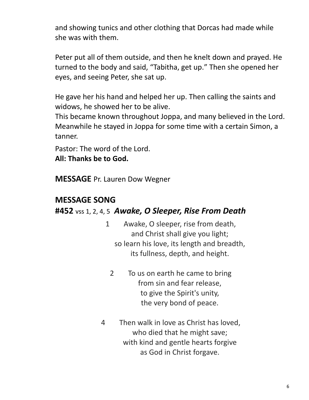and showing tunics and other clothing that Dorcas had made while she was with them.

Peter put all of them outside, and then he knelt down and prayed. He turned to the body and said, "Tabitha, get up." Then she opened her eyes, and seeing Peter, she sat up.

He gave her his hand and helped her up. Then calling the saints and widows, he showed her to be alive.

This became known throughout Joppa, and many believed in the Lord. Meanwhile he stayed in Joppa for some time with a certain Simon, a tanner.

Pastor: The word of the Lord.

**All: Thanks be to God.**

**MESSAGE** Pr. Lauren Dow Wegner

# **MESSAGE SONG**

### **#452** vss 1, 2, 4, 5*Awake, O Sleeper, Rise From Death*

- 1 Awake, O sleeper, rise from death, and Christ shall give you light; so learn his love, its length and breadth, its fullness, depth, and height.
	- 2 To us on earth he came to bring from sin and fear release, to give the Spirit's unity, the very bond of peace.
- 4 Then walk in love as Christ has loved, who died that he might save; with kind and gentle hearts forgive as God in Christ forgave.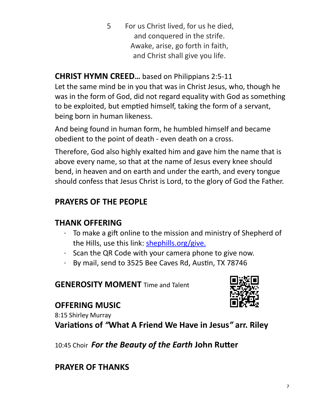5 For us Christ lived, for us he died, and conquered in the strife. Awake, arise, go forth in faith, and Christ shall give you life.

# **CHRIST HYMN CREED…** based on Philippians 2:5-11

Let the same mind be in you that was in Christ Jesus, who, though he was in the form of God, did not regard equality with God as something to be exploited, but emptied himself, taking the form of a servant, being born in human likeness.

And being found in human form, he humbled himself and became obedient to the point of death - even death on a cross.

Therefore, God also highly exalted him and gave him the name that is above every name, so that at the name of Jesus every knee should bend, in heaven and on earth and under the earth, and every tongue should confess that Jesus Christ is Lord, to the glory of God the Father.

# **PRAYERS OF THE PEOPLE**

# **THANK OFFERING**

- · To make a gift online to the mission and ministry of Shepherd of the Hills, use this link: [shephills.org/give.](https://shephills.org/give/)
- · Scan the QR Code with your camera phone to give now.
- · By mail, send to 3525 Bee Caves Rd, Austin, TX 78746

#### **GENEROSITY MOMENT** Time and Talent

# **OFFERING MUSIC**

8:15 Shirley Murray

**Variations of** *"***What A Friend We Have in Jesus***"* **arr. Riley** 

10:45 Choir *For the Beauty of the Earth* **John Rutter** 

### **PRAYER OF THANKS**

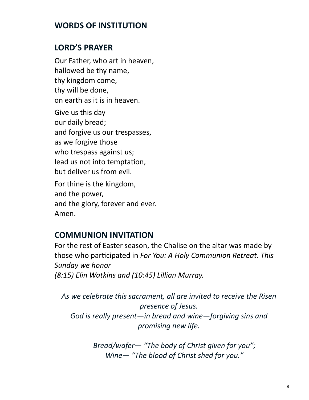#### **WORDS OF INSTITUTION**

### **LORD'S PRAYER**

Our Father, who art in heaven, hallowed be thy name, thy kingdom come, thy will be done, on earth as it is in heaven.

Give us this day our daily bread; and forgive us our trespasses, as we forgive those who trespass against us; lead us not into temptation, but deliver us from evil.

For thine is the kingdom, and the power, and the glory, forever and ever. Amen.

### **COMMUNION INVITATION**

For the rest of Easter season, the Chalise on the altar was made by those who participated in *For You: A Holy Communion Retreat. This Sunday we honor (8:15) Elin Watkins and (10:45) Lillian Murray.*

*As we celebrate this sacrament, all are invited to receive the Risen presence of Jesus. God is really present—in bread and wine—forgiving sins and promising new life.* 

> *Bread/wafer— "The body of Christ given for you"; Wine— "The blood of Christ shed for you."*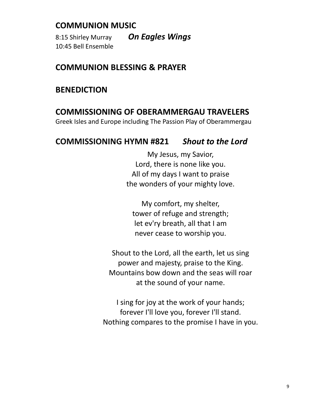#### **COMMUNION MUSIC**

8:15 Shirley Murray *On Eagles Wings*  10:45 Bell Ensemble

#### **COMMUNION BLESSING & PRAYER**

#### **BENEDICTION**

### **COMMISSIONING OF OBERAMMERGAU TRAVELERS**

Greek Isles and Europe including The Passion Play of Oberammergau

#### **COMMISSIONING HYMN #821** *Shout to the Lord*

My Jesus, my Savior, Lord, there is none like you. All of my days I want to praise the wonders of your mighty love.

My comfort, my shelter, tower of refuge and strength; let ev'ry breath, all that I am never cease to worship you.

Shout to the Lord, all the earth, let us sing power and majesty, praise to the King. Mountains bow down and the seas will roar at the sound of your name.

I sing for joy at the work of your hands; forever I'll love you, forever I'll stand. Nothing compares to the promise I have in you.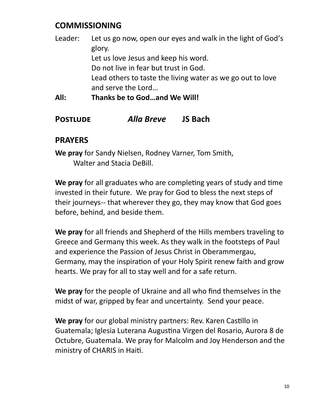## **COMMISSIONING**

| All:    | Thanks be to Godand We Will!                                |
|---------|-------------------------------------------------------------|
|         | and serve the Lord                                          |
|         | Lead others to taste the living water as we go out to love  |
|         | Do not live in fear but trust in God.                       |
|         | Let us love Jesus and keep his word.                        |
|         | glory.                                                      |
| Leader: | Let us go now, open our eyes and walk in the light of God's |

#### **Postlude** *Alla Breve* **JS Bach**

#### **PRAYERS**

**We pray** for Sandy Nielsen, Rodney Varner, Tom Smith, Walter and Stacia DeBill.

**We pray** for all graduates who are completing years of study and time invested in their future. We pray for God to bless the next steps of their journeys-- that wherever they go, they may know that God goes before, behind, and beside them.

**We pray** for all friends and Shepherd of the Hills members traveling to Greece and Germany this week. As they walk in the footsteps of Paul and experience the Passion of Jesus Christ in Oberammergau, Germany, may the inspiration of your Holy Spirit renew faith and grow hearts. We pray for all to stay well and for a safe return.

**We pray** for the people of Ukraine and all who find themselves in the midst of war, gripped by fear and uncertainty. Send your peace.

**We pray** for our global ministry partners: Rev. Karen Castillo in Guatemala; Iglesia Luterana Augustina Virgen del Rosario, Aurora 8 de Octubre, Guatemala. We pray for Malcolm and Joy Henderson and the ministry of CHARIS in Haiti.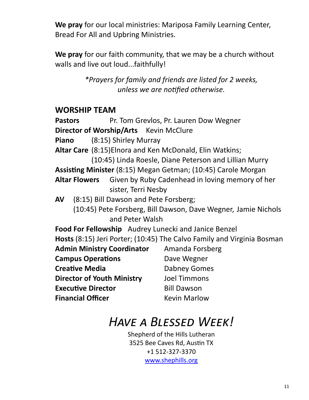**We pray** for our local ministries: Mariposa Family Learning Center, Bread For All and Upbring Ministries.

**We pray** for our faith community, that we may be a church without walls and live out loud...faithfully!

> *\*Prayers for family and friends are listed for 2 weeks, unless we are notified otherwise.*

#### **WORSHIP TEAM**

**Pastors** Pr. Tom Grevlos, Pr. Lauren Dow Wegner **Director of Worship/Arts** Kevin McClure **Piano** (8:15) Shirley Murray **Altar Care** (8:15)Elnora and Ken McDonald, Elin Watkins; (10:45) Linda Roesle, Diane Peterson and Lillian Murry **Assisting Minister** (8:15) Megan Getman; (10:45) Carole Morgan **Altar Flowers** Given by Ruby Cadenhead in loving memory of her sister, Terri Nesby **AV** (8:15) Bill Dawson and Pete Forsberg; (10:45) Pete Forsberg, Bill Dawson, Dave Wegner, Jamie Nichols and Peter Walsh **Food For Fellowship** Audrey Lunecki and Janice Benzel **Hosts** (8:15) Jeri Porter; (10:45) The Calvo Family and Virginia Bosman **Admin Ministry Coordinator** Amanda Forsberg **Campus Operations** Dave Wegner **Creative Media** Dabney Gomes **Director of Youth Ministry** Joel Timmons **Executive Director** Bill Dawson **Financial Officer** Kevin Marlow

# *Have a Blessed Week!*

Shepherd of the Hills Lutheran 3525 Bee Caves Rd, Austin TX +1 512-327-3370 [www.shephills.org](http://www.shephills.org)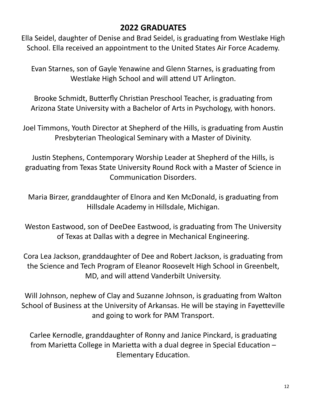## **2022 GRADUATES**

Ella Seidel, daughter of Denise and Brad Seidel, is graduating from Westlake High School. Ella received an appointment to the United States Air Force Academy.

Evan Starnes, son of Gayle Yenawine and Glenn Starnes, is graduating from Westlake High School and will attend UT Arlington.

Brooke Schmidt, Butterfly Christian Preschool Teacher, is graduating from Arizona State University with a Bachelor of Arts in Psychology, with honors.

Joel Timmons, Youth Director at Shepherd of the Hills, is graduating from Austin Presbyterian Theological Seminary with a Master of Divinity.

Justin Stephens, Contemporary Worship Leader at Shepherd of the Hills, is graduating from Texas State University Round Rock with a Master of Science in Communication Disorders.

Maria Birzer, granddaughter of Elnora and Ken McDonald, is graduating from Hillsdale Academy in Hillsdale, Michigan.

Weston Eastwood, son of DeeDee Eastwood, is graduating from The University of Texas at Dallas with a degree in Mechanical Engineering.

Cora Lea Jackson, granddaughter of Dee and Robert Jackson, is graduating from the Science and Tech Program of Eleanor Roosevelt High School in Greenbelt, MD, and will attend Vanderbilt University.

Will Johnson, nephew of Clay and Suzanne Johnson, is graduating from Walton School of Business at the University of Arkansas. He will be staying in Fayetteville and going to work for PAM Transport.

Carlee Kernodle, granddaughter of Ronny and Janice Pinckard, is graduating from Marietta College in Marietta with a dual degree in Special Education – Elementary Education.